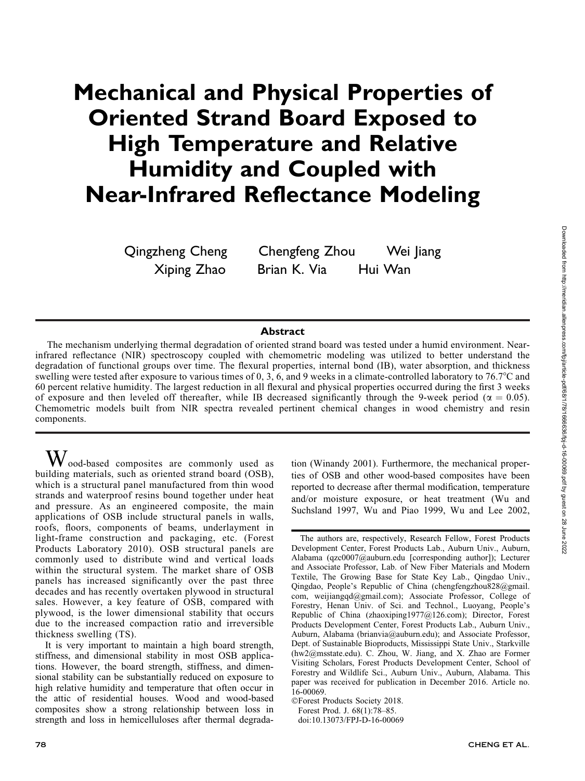# Mechanical and Physical Properties of Oriented Strand Board Exposed to High Temperature and Relative Humidity and Coupled with Near-Infrared Reflectance Modeling

Qingzheng Cheng Chengfeng Zhou Wei Jiang Xiping Zhao Brian K. Via Hui Wan

# **Abstract**

The mechanism underlying thermal degradation of oriented strand board was tested under a humid environment. Nearinfrared reflectance (NIR) spectroscopy coupled with chemometric modeling was utilized to better understand the degradation of functional groups over time. The flexural properties, internal bond (IB), water absorption, and thickness swelling were tested after exposure to various times of 0, 3, 6, and 9 weeks in a climate-controlled laboratory to 76.7°C and 60 percent relative humidity. The largest reduction in all flexural and physical properties occurred during the first 3 weeks of exposure and then leveled off thereafter, while IB decreased significantly through the 9-week period ( $\alpha = 0.05$ ). Chemometric models built from NIR spectra revealed pertinent chemical changes in wood chemistry and resin components.

 $\rm W$  ood-based composites are commonly used as building materials, such as oriented strand board (OSB), which is a structural panel manufactured from thin wood strands and waterproof resins bound together under heat and pressure. As an engineered composite, the main applications of OSB include structural panels in walls, roofs, floors, components of beams, underlayment in light-frame construction and packaging, etc. (Forest Products Laboratory 2010). OSB structural panels are commonly used to distribute wind and vertical loads within the structural system. The market share of OSB panels has increased significantly over the past three decades and has recently overtaken plywood in structural sales. However, a key feature of OSB, compared with plywood, is the lower dimensional stability that occurs due to the increased compaction ratio and irreversible thickness swelling (TS).

It is very important to maintain a high board strength, stiffness, and dimensional stability in most OSB applications. However, the board strength, stiffness, and dimensional stability can be substantially reduced on exposure to high relative humidity and temperature that often occur in the attic of residential houses. Wood and wood-based composites show a strong relationship between loss in strength and loss in hemicelluloses after thermal degrada-

tion (Winandy 2001). Furthermore, the mechanical properties of OSB and other wood-based composites have been reported to decrease after thermal modification, temperature and/or moisture exposure, or heat treatment (Wu and Suchsland 1997, Wu and Piao 1999, Wu and Lee 2002,

doi:10.13073/FPJ-D-16-00069

The authors are, respectively, Research Fellow, Forest Products Development Center, Forest Products Lab., Auburn Univ., Auburn, Alabama (qzc0007@auburn.edu [corresponding author]); Lecturer and Associate Professor, Lab. of New Fiber Materials and Modern Textile, The Growing Base for State Key Lab., Qingdao Univ., Qingdao, People's Republic of China (chengfengzhou828@gmail. com, weijiangqd@gmail.com); Associate Professor, College of Forestry, Henan Univ. of Sci. and Technol., Luoyang, People's Republic of China (zhaoxiping1977@126.com); Director, Forest Products Development Center, Forest Products Lab., Auburn Univ., Auburn, Alabama (brianvia@auburn.edu); and Associate Professor, Dept. of Sustainable Bioproducts, Mississippi State Univ., Starkville (hw2@msstate.edu). C. Zhou, W. Jiang, and X. Zhao are Former Visiting Scholars, Forest Products Development Center, School of Forestry and Wildlife Sci., Auburn Univ., Auburn, Alabama. This paper was received for publication in December 2016. Article no. 16-00069.

<sup>-</sup>Forest Products Society 2018. Forest Prod. J. 68(1):78–85.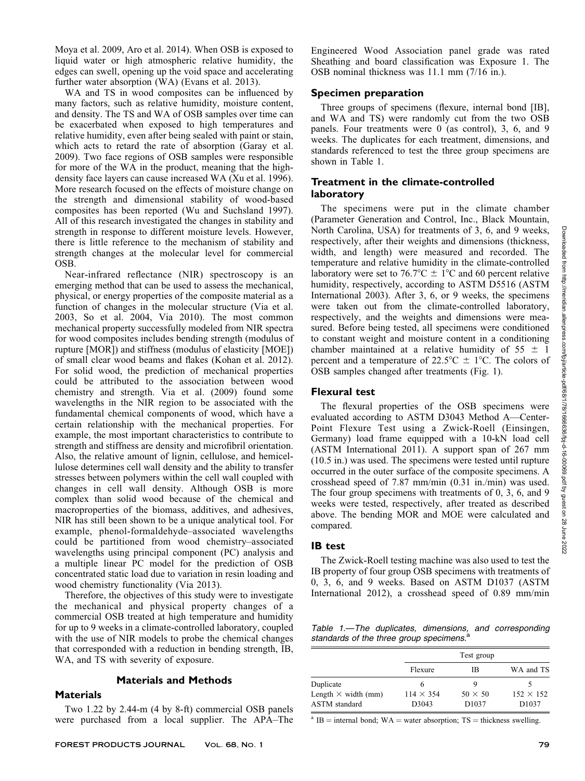Moya et al. 2009, Aro et al. 2014). When OSB is exposed to liquid water or high atmospheric relative humidity, the edges can swell, opening up the void space and accelerating further water absorption (WA) (Evans et al. 2013).

WA and TS in wood composites can be influenced by many factors, such as relative humidity, moisture content, and density. The TS and WA of OSB samples over time can be exacerbated when exposed to high temperatures and relative humidity, even after being sealed with paint or stain, which acts to retard the rate of absorption (Garay et al. 2009). Two face regions of OSB samples were responsible for more of the WA in the product, meaning that the highdensity face layers can cause increased WA (Xu et al. 1996). More research focused on the effects of moisture change on the strength and dimensional stability of wood-based composites has been reported (Wu and Suchsland 1997). All of this research investigated the changes in stability and strength in response to different moisture levels. However, there is little reference to the mechanism of stability and strength changes at the molecular level for commercial OSB.

Near-infrared reflectance (NIR) spectroscopy is an emerging method that can be used to assess the mechanical, physical, or energy properties of the composite material as a function of changes in the molecular structure (Via et al. 2003, So et al. 2004, Via 2010). The most common mechanical property successfully modeled from NIR spectra for wood composites includes bending strength (modulus of rupture [MOR]) and stiffness (modulus of elasticity [MOE]) of small clear wood beams and flakes (Kohan et al. 2012). For solid wood, the prediction of mechanical properties could be attributed to the association between wood chemistry and strength. Via et al. (2009) found some wavelengths in the NIR region to be associated with the fundamental chemical components of wood, which have a certain relationship with the mechanical properties. For example, the most important characteristics to contribute to strength and stiffness are density and microfibril orientation. Also, the relative amount of lignin, cellulose, and hemicellulose determines cell wall density and the ability to transfer stresses between polymers within the cell wall coupled with changes in cell wall density. Although OSB is more complex than solid wood because of the chemical and macroproperties of the biomass, additives, and adhesives, NIR has still been shown to be a unique analytical tool. For example, phenol-formaldehyde–associated wavelengths could be partitioned from wood chemistry–associated wavelengths using principal component (PC) analysis and a multiple linear PC model for the prediction of OSB concentrated static load due to variation in resin loading and wood chemistry functionality (Via 2013).

Therefore, the objectives of this study were to investigate the mechanical and physical property changes of a commercial OSB treated at high temperature and humidity for up to 9 weeks in a climate-controlled laboratory, coupled with the use of NIR models to probe the chemical changes that corresponded with a reduction in bending strength, IB, WA, and TS with severity of exposure.

#### Materials and Methods

#### Materials

Two 1.22 by 2.44-m (4 by 8-ft) commercial OSB panels were purchased from a local supplier. The APA–The Engineered Wood Association panel grade was rated Sheathing and board classification was Exposure 1. The OSB nominal thickness was 11.1 mm (7/16 in.).

#### Specimen preparation

Three groups of specimens (flexure, internal bond [IB], and WA and TS) were randomly cut from the two OSB panels. Four treatments were 0 (as control), 3, 6, and 9 weeks. The duplicates for each treatment, dimensions, and standards referenced to test the three group specimens are shown in Table 1.

# Treatment in the climate-controlled laboratory

The specimens were put in the climate chamber (Parameter Generation and Control, Inc., Black Mountain, North Carolina, USA) for treatments of 3, 6, and 9 weeks, respectively, after their weights and dimensions (thickness, width, and length) were measured and recorded. The temperature and relative humidity in the climate-controlled laboratory were set to 76.7°C  $\pm$  1°C and 60 percent relative humidity, respectively, according to ASTM D5516 (ASTM International 2003). After 3, 6, or 9 weeks, the specimens were taken out from the climate-controlled laboratory, respectively, and the weights and dimensions were measured. Before being tested, all specimens were conditioned to constant weight and moisture content in a conditioning chamber maintained at a relative humidity of  $55 \pm 1$ percent and a temperature of  $22.5^{\circ}\text{C} \pm 1^{\circ}\text{C}$ . The colors of OSB samples changed after treatments (Fig. 1).

#### Flexural test

The flexural properties of the OSB specimens were evaluated according to ASTM D3043 Method A—Center-Point Flexure Test using a Zwick-Roell (Einsingen, Germany) load frame equipped with a 10-kN load cell (ASTM International 2011). A support span of 267 mm (10.5 in.) was used. The specimens were tested until rupture occurred in the outer surface of the composite specimens. A crosshead speed of 7.87 mm/min (0.31 in./min) was used. The four group specimens with treatments of 0, 3, 6, and 9 weeks were tested, respectively, after treated as described above. The bending MOR and MOE were calculated and compared.

#### IB test

The Zwick-Roell testing machine was also used to test the IB property of four group OSB specimens with treatments of 0, 3, 6, and 9 weeks. Based on ASTM D1037 (ASTM International 2012), a crosshead speed of 0.89 mm/min

Table 1.—The duplicates, dimensions, and corresponding<br>standards of the three group specimens.<sup>a</sup> standards of the three group specimens.

|                                                    |                           | Test group                          |                                       |  |
|----------------------------------------------------|---------------------------|-------------------------------------|---------------------------------------|--|
|                                                    | Flexure                   | ΙB                                  | WA and TS                             |  |
| Duplicate                                          | o                         |                                     |                                       |  |
| Length $\times$ width (mm)<br><b>ASTM</b> standard | $114 \times 354$<br>D3043 | $50 \times 50$<br>D <sub>1037</sub> | $152 \times 152$<br>D <sub>1037</sub> |  |

 $a$  IB = internal bond; WA = water absorption; TS = thickness swelling.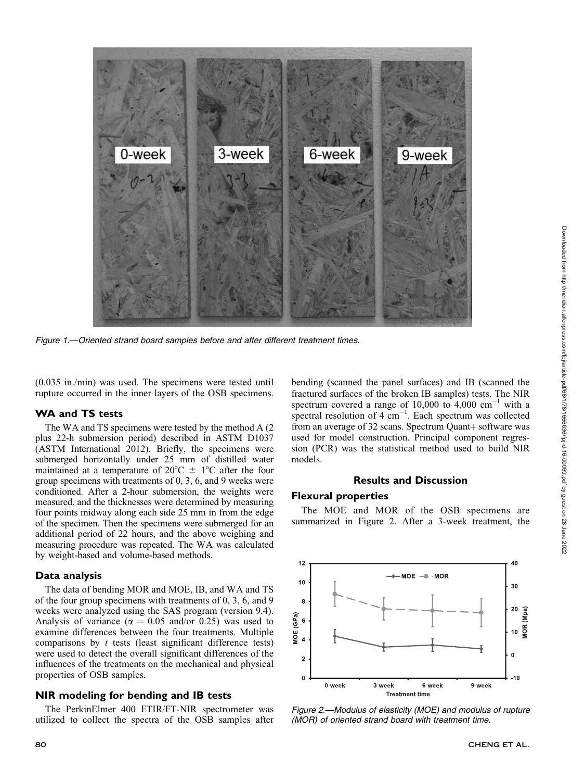

Figure 1.—Oriented strand board samples before and after different treatment times.

(0.035 in./min) was used. The specimens were tested until rupture occurred in the inner layers of the OSB specimens.

# WA and TS tests

The WA and TS specimens were tested by the method A (2 plus 22-h submersion period) described in ASTM D1037 (ASTM International 2012). Briefly, the specimens were submerged horizontally under 25 mm of distilled water maintained at a temperature of  $20^{\circ}$ C  $\pm$  1°C after the four group specimens with treatments of 0, 3, 6, and 9 weeks were conditioned. After a 2-hour submersion, the weights were measured, and the thicknesses were determined by measuring four points midway along each side 25 mm in from the edge of the specimen. Then the specimens were submerged for an additional period of 22 hours, and the above weighing and measuring procedure was repeated. The WA was calculated by weight-based and volume-based methods.

# Data analysis

The data of bending MOR and MOE, IB, and WA and TS of the four group specimens with treatments of 0, 3, 6, and 9 weeks were analyzed using the SAS program (version 9.4). Analysis of variance ( $\alpha = 0.05$  and/or 0.25) was used to examine differences between the four treatments. Multiple comparisons by  $t$  tests (least significant difference tests) were used to detect the overall significant differences of the influences of the treatments on the mechanical and physical properties of OSB samples.

# NIR modeling for bending and IB tests

The PerkinElmer 400 FTIR/FT-NIR spectrometer was utilized to collect the spectra of the OSB samples after bending (scanned the panel surfaces) and IB (scanned the fractured surfaces of the broken IB samples) tests. The NIR spectrum covered a range of 10,000 to  $4,000 \text{ cm}^{-1}$  with a spectral resolution of  $4 \text{ cm}^{-1}$ . Each spectrum was collected from an average of 32 scans. Spectrum Quant + software was used for model construction. Principal component regression (PCR) was the statistical method used to build NIR models.

# Results and Discussion

#### Flexural properties

The MOE and MOR of the OSB specimens are summarized in Figure 2. After a 3-week treatment, the



Figure 2.—Modulus of elasticity (MOE) and modulus of rupture (MOR) of oriented strand board with treatment time.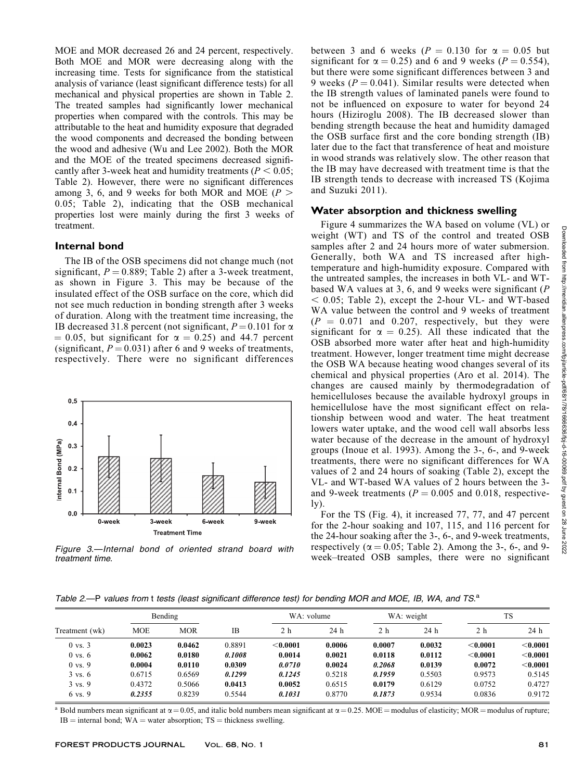MOE and MOR decreased 26 and 24 percent, respectively. Both MOE and MOR were decreasing along with the increasing time. Tests for significance from the statistical analysis of variance (least significant difference tests) for all mechanical and physical properties are shown in Table 2. The treated samples had significantly lower mechanical properties when compared with the controls. This may be attributable to the heat and humidity exposure that degraded the wood components and decreased the bonding between the wood and adhesive (Wu and Lee 2002). Both the MOR and the MOE of the treated specimens decreased significantly after 3-week heat and humidity treatments ( $P < 0.05$ ; Table 2). However, there were no significant differences among 3, 6, and 9 weeks for both MOR and MOE ( $P >$ 0.05; Table 2), indicating that the OSB mechanical properties lost were mainly during the first 3 weeks of treatment.

# Internal bond

The IB of the OSB specimens did not change much (not significant,  $P = 0.889$ ; Table 2) after a 3-week treatment, as shown in Figure 3. This may be because of the insulated effect of the OSB surface on the core, which did not see much reduction in bonding strength after 3 weeks of duration. Along with the treatment time increasing, the IB decreased 31.8 percent (not significant,  $P = 0.101$  for  $\alpha$  $= 0.05$ , but significant for  $\alpha = 0.25$ ) and 44.7 percent (significant,  $P = 0.031$ ) after 6 and 9 weeks of treatments, respectively. There were no significant differences



Figure 3.—Internal bond of oriented strand board with treatment time.

between 3 and 6 weeks ( $P = 0.130$  for  $\alpha = 0.05$  but significant for  $\alpha = 0.25$ ) and 6 and 9 weeks ( $P = 0.554$ ), but there were some significant differences between 3 and 9 weeks ( $P = 0.041$ ). Similar results were detected when the IB strength values of laminated panels were found to not be influenced on exposure to water for beyond 24 hours (Hiziroglu 2008). The IB decreased slower than bending strength because the heat and humidity damaged the OSB surface first and the core bonding strength (IB) later due to the fact that transference of heat and moisture in wood strands was relatively slow. The other reason that the IB may have decreased with treatment time is that the IB strength tends to decrease with increased TS (Kojima and Suzuki 2011).

# Water absorption and thickness swelling

Figure 4 summarizes the WA based on volume (VL) or weight (WT) and TS of the control and treated OSB samples after 2 and 24 hours more of water submersion. Generally, both WA and TS increased after hightemperature and high-humidity exposure. Compared with the untreated samples, the increases in both VL- and WTbased WA values at 3, 6, and 9 weeks were significant (P  $<$  0.05; Table 2), except the 2-hour VL- and WT-based WA value between the control and 9 weeks of treatment  $(P = 0.071$  and 0.207, respectively, but they were significant for  $\alpha = 0.25$ . All these indicated that the OSB absorbed more water after heat and high-humidity treatment. However, longer treatment time might decrease the OSB WA because heating wood changes several of its chemical and physical properties (Aro et al. 2014). The changes are caused mainly by thermodegradation of hemicelluloses because the available hydroxyl groups in hemicellulose have the most significant effect on relationship between wood and water. The heat treatment lowers water uptake, and the wood cell wall absorbs less water because of the decrease in the amount of hydroxyl groups (Inoue et al. 1993). Among the 3-, 6-, and 9-week treatments, there were no significant differences for WA values of 2 and 24 hours of soaking (Table 2), except the VL- and WT-based WA values of 2 hours between the 3 and 9-week treatments ( $P = 0.005$  and 0.018, respective- $1y)$ .

For the TS (Fig. 4), it increased 77, 77, and 47 percent for the 2-hour soaking and 107, 115, and 116 percent for the 24-hour soaking after the 3-, 6-, and 9-week treatments, respectively ( $\alpha = 0.05$ ; Table 2). Among the 3-, 6-, and 9week–treated OSB samples, there were no significant

Table 2.-P values from t tests (least significant difference test) for bending MOR and MOE, IB, WA, and TS.<sup>a</sup>

|                    | Bending    |            |        | WA: volume |        | WA: weight |        | <b>TS</b>  |            |
|--------------------|------------|------------|--------|------------|--------|------------|--------|------------|------------|
| Treatment (wk)     | <b>MOE</b> | <b>MOR</b> | IB     | 2 h        | 24 h   | 2 h        | 24 h   | 2 h        | 24 h       |
| $0 \text{ vs. } 3$ | 0.0023     | 0.0462     | 0.8891 | < 0.0001   | 0.0006 | 0.0007     | 0.0032 | < 0.0001   | $<$ 0.0001 |
| $0 \text{ vs. } 6$ | 0.0062     | 0.0180     | 0.1008 | 0.0014     | 0.0021 | 0.0118     | 0.0112 | $<$ 0.0001 | $<$ 0.0001 |
| $0 \text{ vs. } 9$ | 0.0004     | 0.0110     | 0.0309 | 0.0710     | 0.0024 | 0.2068     | 0.0139 | 0.0072     | $<$ 0.0001 |
| $3 \text{ vs. } 6$ | 0.6715     | 0.6569     | 0.1299 | 0.1245     | 0.5218 | 0.1959     | 0.5503 | 0.9573     | 0.5145     |
| $3 \text{ vs. } 9$ | 0.4372     | 0.5066     | 0.0413 | 0.0052     | 0.6515 | 0.0179     | 0.6129 | 0.0752     | 0.4727     |
| 6 vs. 9            | 0.2355     | 0.8239     | 0.5544 | 0.1031     | 0.8770 | 0.1873     | 0.9534 | 0.0836     | 0.9172     |

<sup>a</sup> Bold numbers mean significant at  $\alpha = 0.05$ , and italic bold numbers mean significant at  $\alpha = 0.25$ . MOE = modulus of elasticity; MOR = modulus of rupture;  $IB =$  internal bond;  $WA =$  water absorption;  $TS =$  thickness swelling.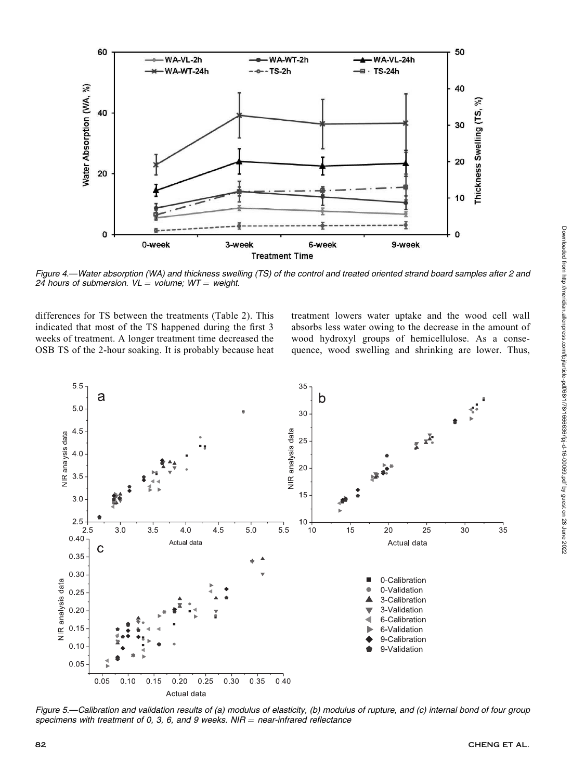

Figure 4.—Water absorption (WA) and thickness swelling (TS) of the control and treated oriented strand board samples after 2 and 24 hours of submersion.  $VL =$  volume;  $WT =$  weight.

differences for TS between the treatments (Table 2). This indicated that most of the TS happened during the first 3 weeks of treatment. A longer treatment time decreased the OSB TS of the 2-hour soaking. It is probably because heat treatment lowers water uptake and the wood cell wall absorbs less water owing to the decrease in the amount of wood hydroxyl groups of hemicellulose. As a consequence, wood swelling and shrinking are lower. Thus,



Figure 5.—Calibration and validation results of (a) modulus of elasticity, (b) modulus of rupture, and (c) internal bond of four group specimens with treatment of 0, 3, 6, and 9 weeks. NIR = near-infrared reflectance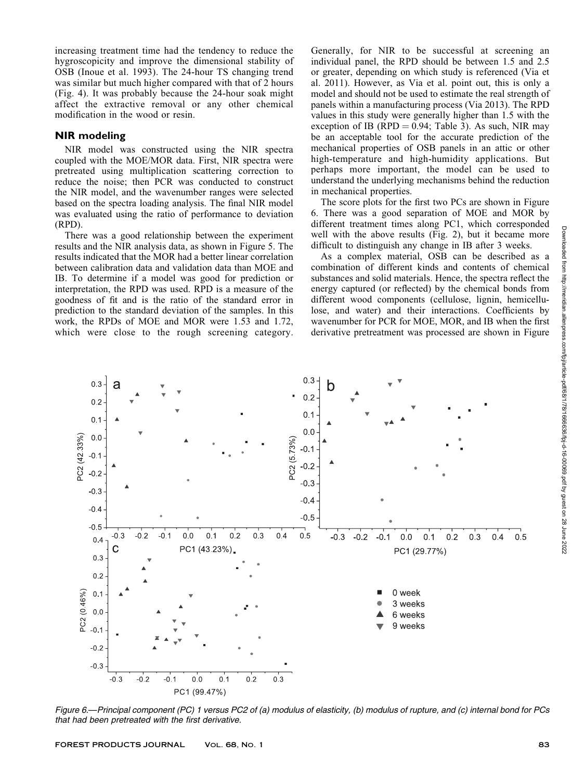increasing treatment time had the tendency to reduce the hygroscopicity and improve the dimensional stability of OSB (Inoue et al. 1993). The 24-hour TS changing trend was similar but much higher compared with that of 2 hours (Fig. 4). It was probably because the 24-hour soak might affect the extractive removal or any other chemical modification in the wood or resin.

# NIR modeling

NIR model was constructed using the NIR spectra coupled with the MOE/MOR data. First, NIR spectra were pretreated using multiplication scattering correction to reduce the noise; then PCR was conducted to construct the NIR model, and the wavenumber ranges were selected based on the spectra loading analysis. The final NIR model was evaluated using the ratio of performance to deviation (RPD).

There was a good relationship between the experiment results and the NIR analysis data, as shown in Figure 5. The results indicated that the MOR had a better linear correlation between calibration data and validation data than MOE and IB. To determine if a model was good for prediction or interpretation, the RPD was used. RPD is a measure of the goodness of fit and is the ratio of the standard error in prediction to the standard deviation of the samples. In this work, the RPDs of MOE and MOR were 1.53 and 1.72, which were close to the rough screening category.

Generally, for NIR to be successful at screening an individual panel, the RPD should be between 1.5 and 2.5 or greater, depending on which study is referenced (Via et al. 2011). However, as Via et al. point out, this is only a model and should not be used to estimate the real strength of panels within a manufacturing process (Via 2013). The RPD values in this study were generally higher than 1.5 with the exception of IB (RPD =  $0.94$ ; Table 3). As such, NIR may be an acceptable tool for the accurate prediction of the mechanical properties of OSB panels in an attic or other high-temperature and high-humidity applications. But perhaps more important, the model can be used to understand the underlying mechanisms behind the reduction in mechanical properties.

The score plots for the first two PCs are shown in Figure 6. There was a good separation of MOE and MOR by different treatment times along PC1, which corresponded well with the above results (Fig. 2), but it became more difficult to distinguish any change in IB after 3 weeks.

As a complex material, OSB can be described as a combination of different kinds and contents of chemical substances and solid materials. Hence, the spectra reflect the energy captured (or reflected) by the chemical bonds from different wood components (cellulose, lignin, hemicellulose, and water) and their interactions. Coefficients by wavenumber for PCR for MOE, MOR, and IB when the first derivative pretreatment was processed are shown in Figure



Figure 6.—Principal component (PC) 1 versus PC2 of (a) modulus of elasticity, (b) modulus of rupture, and (c) internal bond for PCs that had been pretreated with the first derivative.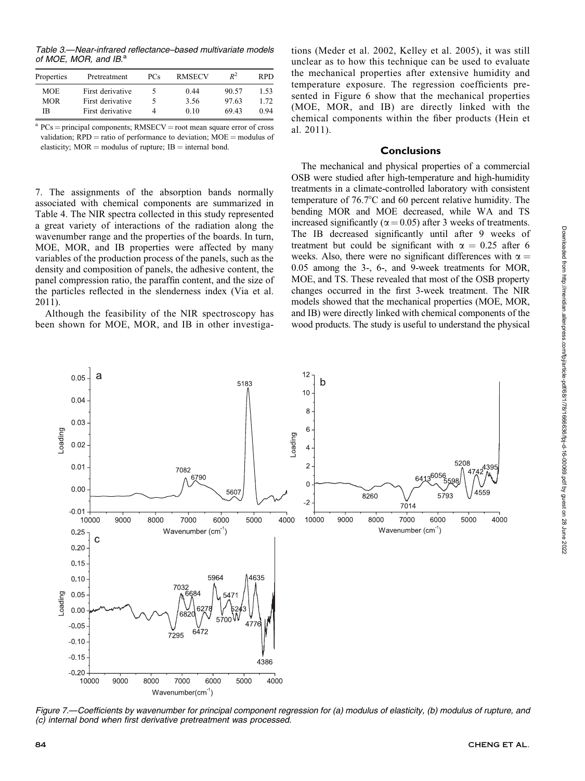Table 3.—Near-infrared reflectance–based multivariate models of MOE, MOR, and IB.<sup>a</sup>

| Properties | Pretreatment     | PCs | <b>RMSECV</b> | $R^2$ | RPD. |
|------------|------------------|-----|---------------|-------|------|
| <b>MOE</b> | First derivative |     | 0.44          | 90.57 | 1.53 |
| <b>MOR</b> | First derivative |     | 3.56          | 97.63 | 1.72 |
| ΙB         | First derivative |     | 010           | 69.43 | 0.94 |

 $a$  PCs = principal components; RMSECV = root mean square error of cross validation;  $RPD =$  ratio of performance to deviation;  $MOE =$  modulus of elasticity;  $MOR =$  modulus of rupture;  $IB =$  internal bond.

7. The assignments of the absorption bands normally associated with chemical components are summarized in Table 4. The NIR spectra collected in this study represented a great variety of interactions of the radiation along the wavenumber range and the properties of the boards. In turn, MOE, MOR, and IB properties were affected by many variables of the production process of the panels, such as the density and composition of panels, the adhesive content, the panel compression ratio, the paraffin content, and the size of the particles reflected in the slenderness index (Via et al. 2011).

Although the feasibility of the NIR spectroscopy has been shown for MOE, MOR, and IB in other investigations (Meder et al. 2002, Kelley et al. 2005), it was still unclear as to how this technique can be used to evaluate the mechanical properties after extensive humidity and temperature exposure. The regression coefficients presented in Figure 6 show that the mechanical properties (MOE, MOR, and IB) are directly linked with the chemical components within the fiber products (Hein et al. 2011).

#### **Conclusions**

The mechanical and physical properties of a commercial OSB were studied after high-temperature and high-humidity treatments in a climate-controlled laboratory with consistent temperature of  $76.7^{\circ}$ C and 60 percent relative humidity. The bending MOR and MOE decreased, while WA and TS increased significantly ( $\alpha$  = 0.05) after 3 weeks of treatments. The IB decreased significantly until after 9 weeks of treatment but could be significant with  $\alpha = 0.25$  after 6 weeks. Also, there were no significant differences with  $\alpha =$ 0.05 among the 3-, 6-, and 9-week treatments for MOR, MOE, and TS. These revealed that most of the OSB property changes occurred in the first 3-week treatment. The NIR models showed that the mechanical properties (MOE, MOR, and IB) were directly linked with chemical components of the wood products. The study is useful to understand the physical



Figure 7.—Coefficients by wavenumber for principal component regression for (a) modulus of elasticity, (b) modulus of rupture, and (c) internal bond when first derivative pretreatment was processed.